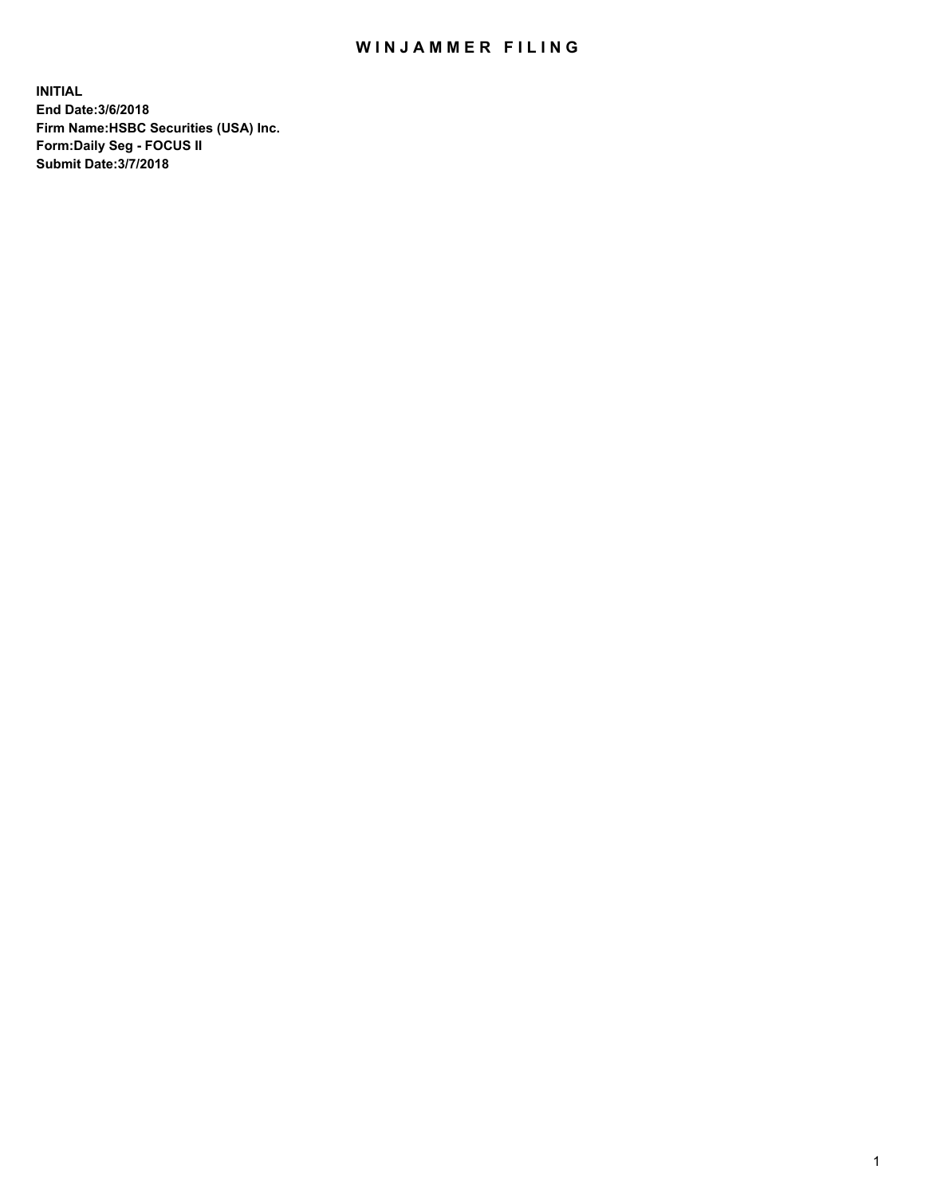## WIN JAMMER FILING

**INITIAL End Date:3/6/2018 Firm Name:HSBC Securities (USA) Inc. Form:Daily Seg - FOCUS II Submit Date:3/7/2018**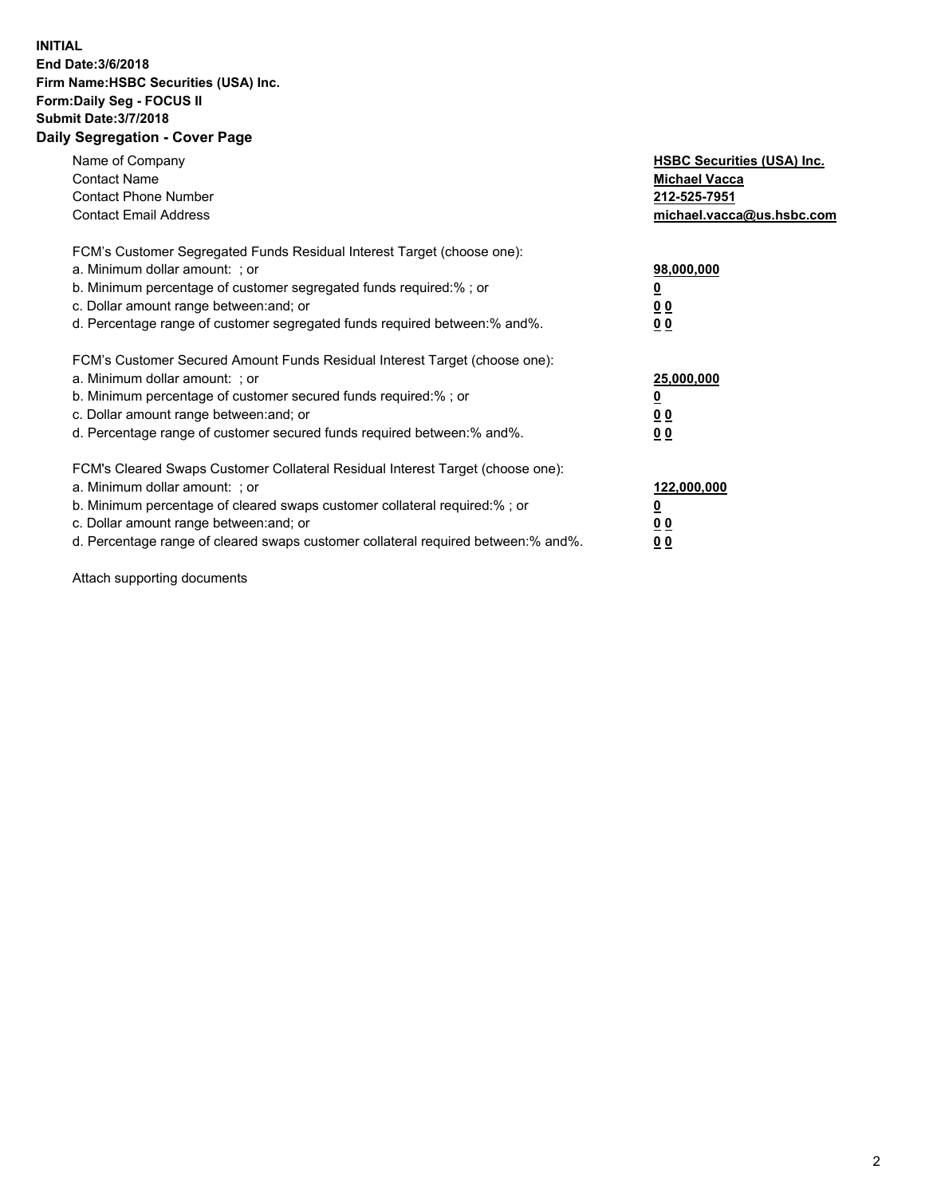## **INITIAL End Date:3/6/2018 Firm Name:HSBC Securities (USA) Inc. Form:Daily Seg - FOCUS II Submit Date:3/7/2018 Daily Segregation - Cover Page**

| Name of Company<br><b>Contact Name</b><br><b>Contact Phone Number</b><br><b>Contact Email Address</b>                                                                                                                                                                                                                         | <b>HSBC Securities (USA) Inc.</b><br><b>Michael Vacca</b><br>212-525-7951<br>michael.vacca@us.hsbc.com |
|-------------------------------------------------------------------------------------------------------------------------------------------------------------------------------------------------------------------------------------------------------------------------------------------------------------------------------|--------------------------------------------------------------------------------------------------------|
| FCM's Customer Segregated Funds Residual Interest Target (choose one):<br>a. Minimum dollar amount: ; or<br>b. Minimum percentage of customer segregated funds required:%; or<br>c. Dollar amount range between: and; or<br>d. Percentage range of customer segregated funds required between: % and %.                       | 98,000,000<br><u>0</u><br><u>00</u><br><u>00</u>                                                       |
| FCM's Customer Secured Amount Funds Residual Interest Target (choose one):<br>a. Minimum dollar amount: ; or<br>b. Minimum percentage of customer secured funds required:%; or<br>c. Dollar amount range between: and; or<br>d. Percentage range of customer secured funds required between: % and %.                         | 25,000,000<br><u>0</u><br><u>00</u><br>00                                                              |
| FCM's Cleared Swaps Customer Collateral Residual Interest Target (choose one):<br>a. Minimum dollar amount: ; or<br>b. Minimum percentage of cleared swaps customer collateral required:%; or<br>c. Dollar amount range between: and; or<br>d. Percentage range of cleared swaps customer collateral required between:% and%. | 122,000,000<br><u>0</u><br><u>00</u><br><u>00</u>                                                      |

Attach supporting documents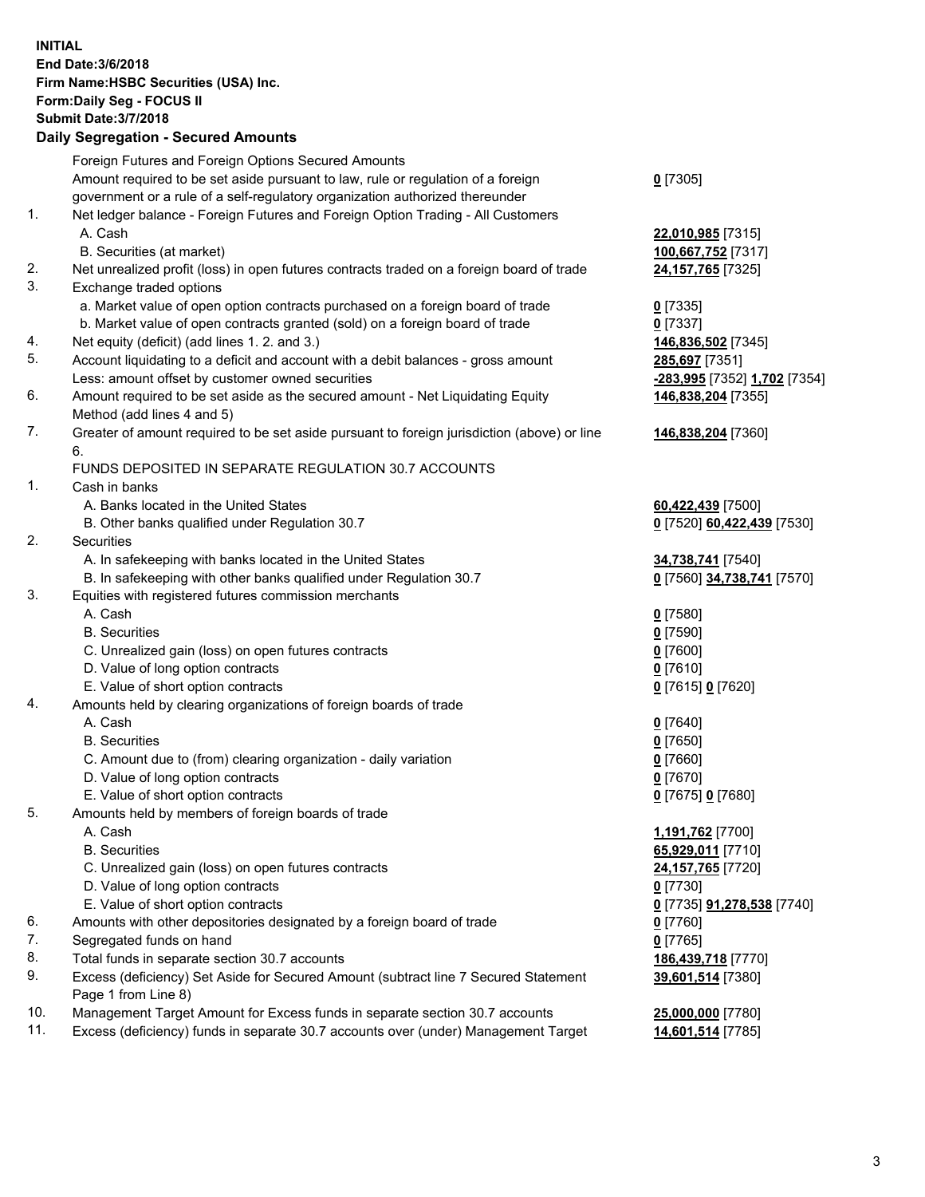**INITIAL End Date:3/6/2018 Firm Name:HSBC Securities (USA) Inc. Form:Daily Seg - FOCUS II Submit Date:3/7/2018 Daily Segregation - Secured Amounts** Foreign Futures and Foreign Options Secured Amounts Amount required to be set aside pursuant to law, rule or regulation of a foreign government or a rule of a self-regulatory organization authorized thereunder **0** [7305] 1. Net ledger balance - Foreign Futures and Foreign Option Trading - All Customers A. Cash **22,010,985** [7315] B. Securities (at market) **100,667,752** [7317] 2. Net unrealized profit (loss) in open futures contracts traded on a foreign board of trade **24,157,765** [7325] 3. Exchange traded options a. Market value of open option contracts purchased on a foreign board of trade **0** [7335] b. Market value of open contracts granted (sold) on a foreign board of trade **0** [7337] 4. Net equity (deficit) (add lines 1. 2. and 3.) **146,836,502** [7345] 5. Account liquidating to a deficit and account with a debit balances - gross amount **285,697** [7351] Less: amount offset by customer owned securities **-283,995** [7352] **1,702** [7354] 6. Amount required to be set aside as the secured amount - Net Liquidating Equity Method (add lines 4 and 5) **146,838,204** [7355] 7. Greater of amount required to be set aside pursuant to foreign jurisdiction (above) or line 6. **146,838,204** [7360] FUNDS DEPOSITED IN SEPARATE REGULATION 30.7 ACCOUNTS 1. Cash in banks A. Banks located in the United States **60,422,439** [7500] B. Other banks qualified under Regulation 30.7 **0** [7520] **60,422,439** [7530] 2. Securities A. In safekeeping with banks located in the United States **34,738,741** [7540] B. In safekeeping with other banks qualified under Regulation 30.7 **0** [7560] **34,738,741** [7570] 3. Equities with registered futures commission merchants A. Cash **0** [7580] B. Securities **0** [7590] C. Unrealized gain (loss) on open futures contracts **0** [7600] D. Value of long option contracts **0** [7610] E. Value of short option contracts **0** [7615] **0** [7620] 4. Amounts held by clearing organizations of foreign boards of trade A. Cash **0** [7640] B. Securities **0** [7650] C. Amount due to (from) clearing organization - daily variation **0** [7660] D. Value of long option contracts **0** [7670] E. Value of short option contracts **0** [7675] **0** [7680] 5. Amounts held by members of foreign boards of trade A. Cash **1,191,762** [7700] B. Securities **65,929,011** [7710] C. Unrealized gain (loss) on open futures contracts **24,157,765** [7720] D. Value of long option contracts **0** [7730] E. Value of short option contracts **0** [7735] **91,278,538** [7740] 6. Amounts with other depositories designated by a foreign board of trade **0** [7760] 7. Segregated funds on hand **0** [7765] 8. Total funds in separate section 30.7 accounts **186,439,718** [7770] 9. Excess (deficiency) Set Aside for Secured Amount (subtract line 7 Secured Statement Page 1 from Line 8) **39,601,514** [7380] 10. Management Target Amount for Excess funds in separate section 30.7 accounts **25,000,000** [7780] 11. Excess (deficiency) funds in separate 30.7 accounts over (under) Management Target **14,601,514** [7785]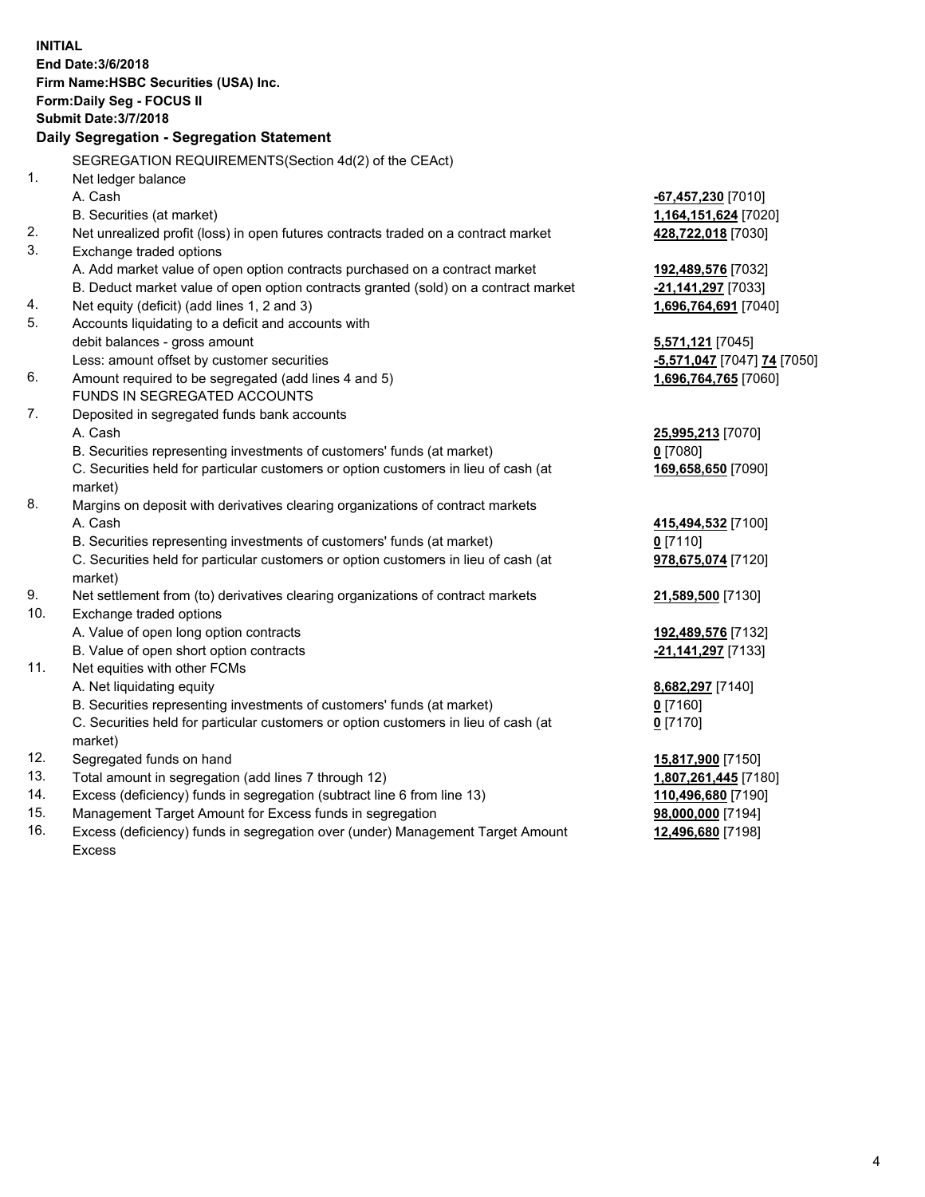|           | <b>INITIAL</b>                                                                      |                                          |  |  |  |  |
|-----------|-------------------------------------------------------------------------------------|------------------------------------------|--|--|--|--|
|           | End Date: 3/6/2018                                                                  |                                          |  |  |  |  |
|           | Firm Name: HSBC Securities (USA) Inc.                                               |                                          |  |  |  |  |
|           | Form: Daily Seg - FOCUS II                                                          |                                          |  |  |  |  |
|           | <b>Submit Date: 3/7/2018</b>                                                        |                                          |  |  |  |  |
|           | Daily Segregation - Segregation Statement                                           |                                          |  |  |  |  |
|           | SEGREGATION REQUIREMENTS(Section 4d(2) of the CEAct)                                |                                          |  |  |  |  |
| 1.        | Net ledger balance                                                                  |                                          |  |  |  |  |
|           | A. Cash                                                                             | -67,457,230 [7010]                       |  |  |  |  |
|           | B. Securities (at market)                                                           | 1,164,151,624 [7020]                     |  |  |  |  |
| 2.        | Net unrealized profit (loss) in open futures contracts traded on a contract market  | 428,722,018 [7030]                       |  |  |  |  |
| 3.        | Exchange traded options                                                             |                                          |  |  |  |  |
|           | A. Add market value of open option contracts purchased on a contract market         | 192,489,576 [7032]                       |  |  |  |  |
|           | B. Deduct market value of open option contracts granted (sold) on a contract market | -21,141,297 [7033]                       |  |  |  |  |
| 4.        | Net equity (deficit) (add lines 1, 2 and 3)                                         | 1,696,764,691 [7040]                     |  |  |  |  |
| 5.        | Accounts liquidating to a deficit and accounts with                                 |                                          |  |  |  |  |
|           | debit balances - gross amount                                                       | 5,571,121 [7045]                         |  |  |  |  |
|           | Less: amount offset by customer securities                                          | -5,571,047 [7047] 74 [7050]              |  |  |  |  |
| 6.        | Amount required to be segregated (add lines 4 and 5)                                | 1,696,764,765 [7060]                     |  |  |  |  |
|           | FUNDS IN SEGREGATED ACCOUNTS                                                        |                                          |  |  |  |  |
| 7.        | Deposited in segregated funds bank accounts                                         |                                          |  |  |  |  |
|           | A. Cash                                                                             | 25,995,213 [7070]                        |  |  |  |  |
|           | B. Securities representing investments of customers' funds (at market)              | $0$ [7080]                               |  |  |  |  |
|           | C. Securities held for particular customers or option customers in lieu of cash (at | 169,658,650 [7090]                       |  |  |  |  |
|           | market)                                                                             |                                          |  |  |  |  |
| 8.        | Margins on deposit with derivatives clearing organizations of contract markets      |                                          |  |  |  |  |
|           | A. Cash                                                                             | 415,494,532 [7100]                       |  |  |  |  |
|           | B. Securities representing investments of customers' funds (at market)              | $0$ [7110]                               |  |  |  |  |
|           | C. Securities held for particular customers or option customers in lieu of cash (at | 978,675,074 [7120]                       |  |  |  |  |
|           | market)                                                                             |                                          |  |  |  |  |
| 9.<br>10. | Net settlement from (to) derivatives clearing organizations of contract markets     | 21,589,500 [7130]                        |  |  |  |  |
|           | Exchange traded options<br>A. Value of open long option contracts                   |                                          |  |  |  |  |
|           | B. Value of open short option contracts                                             | 192,489,576 [7132]<br>-21,141,297 [7133] |  |  |  |  |
| 11.       | Net equities with other FCMs                                                        |                                          |  |  |  |  |
|           | A. Net liquidating equity                                                           | 8,682,297 [7140]                         |  |  |  |  |
|           | B. Securities representing investments of customers' funds (at market)              | 0 [7160]                                 |  |  |  |  |
|           | C. Securities held for particular customers or option customers in lieu of cash (at | $0$ [7170]                               |  |  |  |  |
|           | market)                                                                             |                                          |  |  |  |  |
| 12.       | Segregated funds on hand                                                            | 15,817,900 [7150]                        |  |  |  |  |
| 13.       | Total amount in segregation (add lines 7 through 12)                                | 1,807,261,445 [7180]                     |  |  |  |  |
| 14.       | Excess (deficiency) funds in segregation (subtract line 6 from line 13)             | 110,496,680 [7190]                       |  |  |  |  |
| 15.       | Management Target Amount for Excess funds in segregation                            | 98,000,000 [7194]                        |  |  |  |  |

16. Excess (deficiency) funds in segregation over (under) Management Target Amount Excess

**12,496,680** [7198]